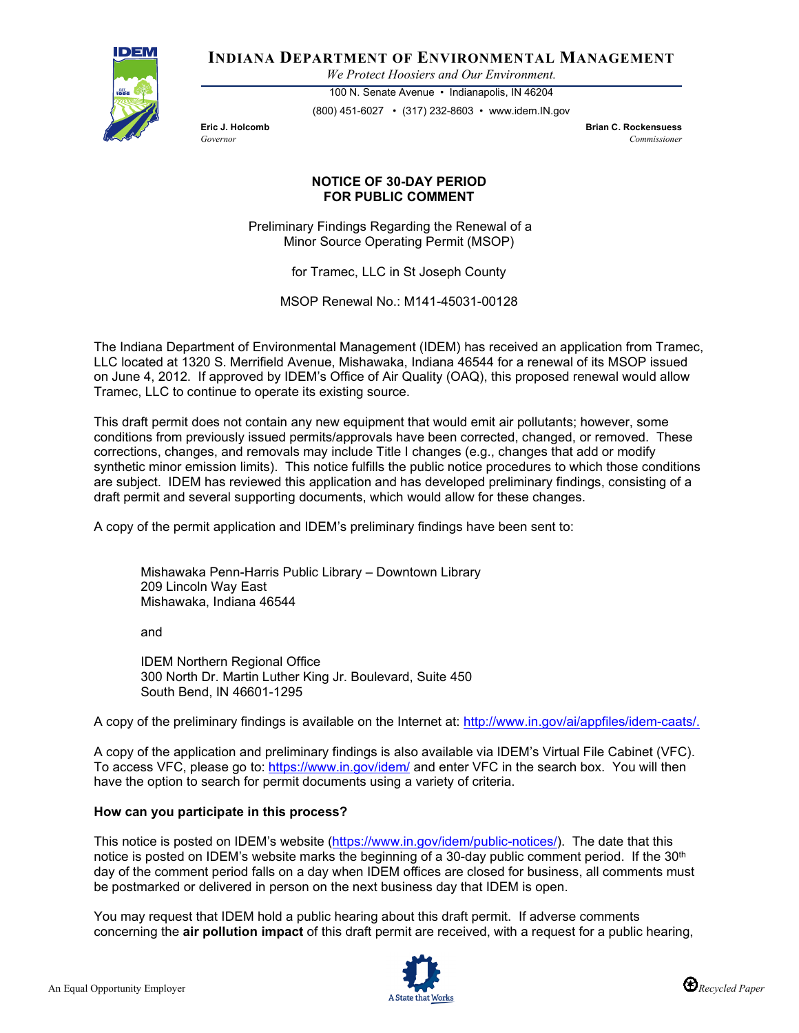

**INDIANA DEPARTMENT OF ENVIRONMENTAL MANAGEMENT**

*We Protect Hoosiers and Our Environment.*

100 N. Senate Avenue • Indianapolis, IN 46204 (800) 451-6027 • (317) 232-8603 • www.idem.IN.gov

**Eric J. Holcomb Brian C. Rockensuess** *Governor Commissioner* 

## **NOTICE OF 30-DAY PERIOD FOR PUBLIC COMMENT**

Preliminary Findings Regarding the Renewal of a Minor Source Operating Permit (MSOP)

for Tramec, LLC in St Joseph County

MSOP Renewal No.: M141-45031-00128

The Indiana Department of Environmental Management (IDEM) has received an application from Tramec, LLC located at 1320 S. Merrifield Avenue, Mishawaka, Indiana 46544 for a renewal of its MSOP issued on June 4, 2012. If approved by IDEM's Office of Air Quality (OAQ), this proposed renewal would allow Tramec, LLC to continue to operate its existing source.

This draft permit does not contain any new equipment that would emit air pollutants; however, some conditions from previously issued permits/approvals have been corrected, changed, or removed. These corrections, changes, and removals may include Title I changes (e.g., changes that add or modify synthetic minor emission limits). This notice fulfills the public notice procedures to which those conditions are subject. IDEM has reviewed this application and has developed preliminary findings, consisting of a draft permit and several supporting documents, which would allow for these changes.

A copy of the permit application and IDEM's preliminary findings have been sent to:

Mishawaka Penn-Harris Public Library – Downtown Library 209 Lincoln Way East Mishawaka, Indiana 46544

and

IDEM Northern Regional Office 300 North Dr. Martin Luther King Jr. Boulevard, Suite 450 South Bend, IN 46601-1295

A copy of the preliminary findings is available on the Internet at: [http://www.in.gov/ai/appfiles/idem-caats/.](http://www.in.gov/ai/appfiles/idem-caats/)

A copy of the application and preliminary findings is also available via IDEM's Virtual File Cabinet (VFC). To access VFC, please go to:<https://www.in.gov/idem/> and enter VFC in the search box. You will then have the option to search for permit documents using a variety of criteria.

## **How can you participate in this process?**

This notice is posted on IDEM's website [\(https://www.in.gov/idem/public-notices/\)](https://www.in.gov/idem/public-notices/). The date that this notice is posted on IDEM's website marks the beginning of a 30-day public comment period. If the 30<sup>th</sup> day of the comment period falls on a day when IDEM offices are closed for business, all comments must be postmarked or delivered in person on the next business day that IDEM is open.

You may request that IDEM hold a public hearing about this draft permit. If adverse comments concerning the **air pollution impact** of this draft permit are received, with a request for a public hearing,